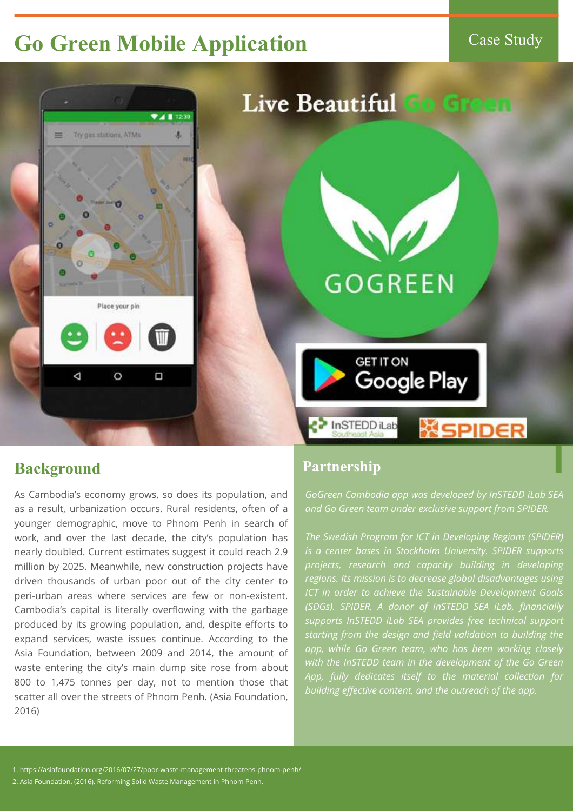## **Go Green Mobile Application** Case Study



# Live Beautiful to Green

# **GOGREEN**







#### **Background**

As Cambodia's economy grows, so does its population, and as a result, urbanization occurs. Rural residents, often of a younger demographic, move to Phnom Penh in search of work, and over the last decade, the city's population has nearly doubled. Current estimates suggest it could reach 2.9 million by 2025. Meanwhile, new construction projects have driven thousands of urban poor out of the city center to peri-urban areas where services are few or non-existent. Cambodia's capital is literally overflowing with the garbage produced by its growing population, and, despite efforts to expand services, waste issues continue. According to the Asia Foundation, between 2009 and 2014, the amount of waste entering the city's main dump site rose from about 800 to 1,475 tonnes per day, not to mention those that scatter all over the streets of Phnom Penh. (Asia Foundation, 2016)

1. https://asiafoundation.org/2016/07/27/poor-waste-management-threatens-phnom-penh/

2. Asia Foundation. (2016). Reforming Solid Waste Management in Phnom Penh.

*GoGreen Cambodia app was developed by InSTEDD iLab SEA and Go Green team under exclusive support from SPIDER.* 

*The Swedish Program for ICT in Developing Regions (SPIDER) is a center bases in Stockholm University. SPIDER supports projects, research and capacity building in developing regions. Its mission is to decrease global disadvantages using ICT in order to achieve the Sustainable Development Goals (SDGs). SPIDER, A donor of InSTEDD SEA iLab, financially supports InSTEDD iLab SEA provides free technical support starting from the design and field validation to building the app, while Go Green team, who has been working closely with the InSTEDD team in the development of the Go Green App, fully dedicates itself to the material collection for building effective content, and the outreach of the app.* 

#### **Partnership**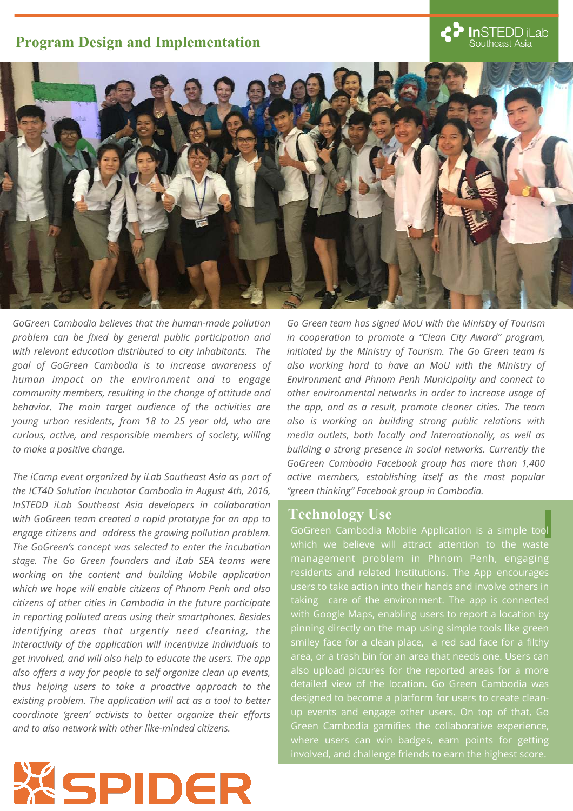*GoGreen Cambodia believes that the human-made pollution problem can be fixed by general public participation and with relevant education distributed to city inhabitants. The goal of GoGreen Cambodia is to increase awareness of human impact on the environment and to engage community members, resulting in the change of attitude and behavior. The main target audience of the activities are young urban residents, from 18 to 25 year old, who are* 

*curious, active, and responsible members of society, willing to make a positive change.*



*The iCamp event organized by iLab Southeast Asia as part of the ICT4D Solution Incubator Cambodia in August 4th, 2016, InSTEDD iLab Southeast Asia developers in collaboration with GoGreen team created a rapid prototype for an app to engage citizens and address the growing pollution problem. The GoGreen's concept was selected to enter the incubation stage. The Go Green founders and iLab SEA teams were working on the content and building Mobile application which we hope will enable citizens of Phnom Penh and also citizens of other cities in Cambodia in the future participate in reporting polluted areas using their smartphones. Besides identifying areas that urgently need cleaning, the interactivity of the application will incentivize individuals to get involved, and will also help to educate the users. The app also offers a way for people to self organize clean up events, thus helping users to take a proactive approach to the existing problem. The application will act as a tool to better coordinate 'green' activists to better organize their efforts and to also network with other like-minded citizens.* 

XSPIDER

#### **Program Design and Implementation**



*Go Green team has signed MoU with the Ministry of Tourism in cooperation to promote a "Clean City Award" program, initiated by the Ministry of Tourism. The Go Green team is also working hard to have an MoU with the Ministry of Environment and Phnom Penh Municipality and connect to other environmental networks in order to increase usage of the app, and as a result, promote cleaner cities. The team also is working on building strong public relations with media outlets, both locally and internationally, as well as building a strong presence in social networks. Currently the GoGreen Cambodia Facebook group has more than 1,400 active members, establishing itself as the most popular "green thinking" Facebook group in Cambodia.* 

GoGreen Cambodia Mobile Application is a simple tool which we believe will attract attention to the waste management problem in Phnom Penh, engaging residents and related Institutions. The App encourages users to take action into their hands and involve others in taking care of the environment. The app is connected with Google Maps, enabling users to report a location by pinning directly on the map using simple tools like green smiley face for a clean place, a red sad face for a filthy area, or a trash bin for an area that needs one. Users can also upload pictures for the reported areas for a more detailed view of the location. Go Green Cambodia was designed to become a platform for users to create cleanup events and engage other users. On top of that, Go Green Cambodia gamifies the collaborative experience, where users can win badges, earn points for getting involved, and challenge friends to earn the highest score.

#### **Technology Use**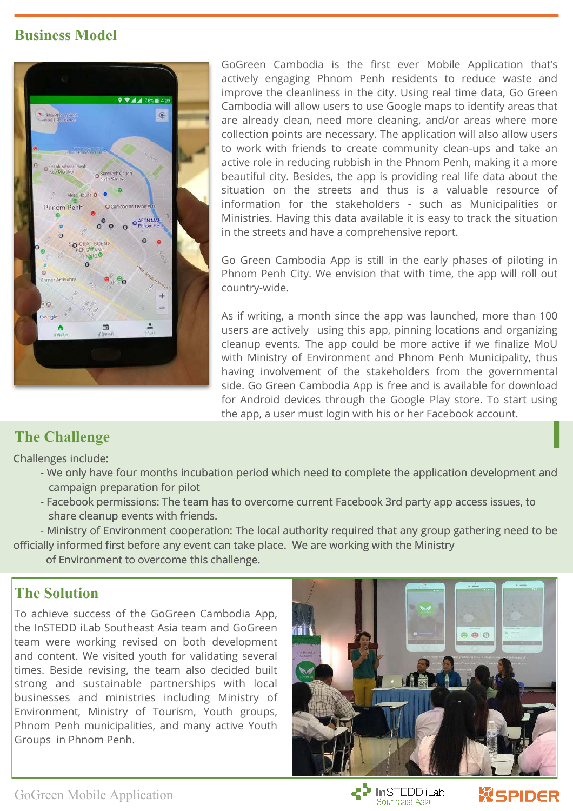GoGreen Cambodia is the first ever Mobile Application that's actively engaging Phnom Penh residents to reduce waste and improve the cleanliness in the city. Using real time data, Go Green Cambodia will allow users to use Google maps to identify areas that are already clean, need more cleaning, and/or areas where more collection points are necessary. The application will also allow users to work with friends to create community clean-ups and take an active role in reducing rubbish in the Phnom Penh, making it a more beautiful city. Besides, the app is providing real life data about the situation on the streets and thus is a valuable resource of information for the stakeholders - such as Municipalities or Ministries. Having this data available it is easy to track the situation in the streets and have a comprehensive report.

Go Green Cambodia App is still in the early phases of piloting in Phnom Penh City. We envision that with time, the app will roll out country-wide.

As if writing, a month since the app was launched, more than 100 users are actively using this app, pinning locations and organizing cleanup events. The app could be more active if we finalize MoU with Ministry of Environment and Phnom Penh Municipality, thus having involvement of the stakeholders from the governmental side. Go Green Cambodia App is free and is available for download for Android devices through the Google Play store. To start using the app, a user must login with his or her Facebook account.

#### **The Challenge**

Challenges include:

- We only have four months incubation period which need to complete the application development and campaign preparation for pilot
- Facebook permissions: The team has to overcome current Facebook 3rd party app access issues, to share cleanup events with friends.
- Ministry of Environment cooperation: The local authority required that any group gathering need to be officially informed first before any event can take place. We are working with the Ministry

of Environment to overcome this challenge.





#### **Business Model**



To achieve success of the GoGreen Cambodia App, the InSTEDD iLab Southeast Asia team and GoGreen team were working revised on both development and content. We visited youth for validating several times. Beside revising, the team also decided built strong and sustainable partnerships with local businesses and ministries including Ministry of Environment, Ministry of Tourism, Youth groups, Phnom Penh municipalities, and many active Youth Groups in Phnom Penh.



### **The Solution**